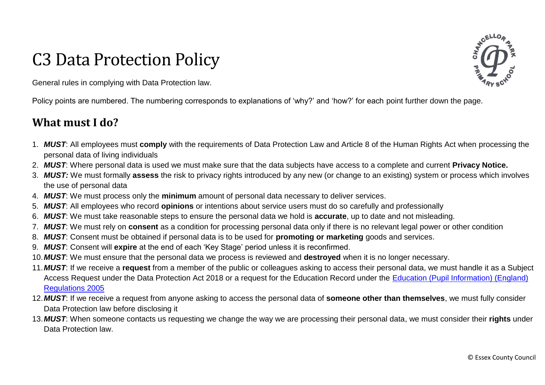# C3 Data Protection Policy

**OELLOA** 

General rules in complying with Data Protection law.

Policy points are numbered. The numbering corresponds to explanations of 'why?' and 'how?' for each point further down the page.

## **What must I do?**

- 1. *MUST*: All employees must **comply** with the requirements of Data Protection Law and Article 8 of the Human Rights Act when processing the personal data of living individuals
- 2. *MUST*: Where personal data is used we must make sure that the data subjects have access to a complete and current **Privacy Notice.**
- 3. *MUST:* We must formally **assess** the risk to privacy rights introduced by any new (or change to an existing) system or process which involves the use of personal data
- 4. *MUST*: We must process only the **minimum** amount of personal data necessary to deliver services.
- 5. *MUST*: All employees who record **opinions** or intentions about service users must do so carefully and professionally
- 6. *MUST*: We must take reasonable steps to ensure the personal data we hold is **accurate**, up to date and not misleading.
- 7. *MUST*: We must rely on **consent** as a condition for processing personal data only if there is no relevant legal power or other condition
- 8. *MUST*: Consent must be obtained if personal data is to be used for **promoting or marketing** goods and services.
- 9. *MUST*: Consent will **expire** at the end of each 'Key Stage' period unless it is reconfirmed.
- 10.*MUST*: We must ensure that the personal data we process is reviewed and **destroyed** when it is no longer necessary.
- 11.*MUST*: If we receive a **request** from a member of the public or colleagues asking to access their personal data, we must handle it as a Subject Access Request under the Data Protection Act 2018 or a request for the Education Record under the [Education \(Pupil Information\) \(England\)](http://www.legislation.gov.uk/uksi/2005/1437/pdfs/uksi_20051437_en.pdf)  [Regulations 2005](http://www.legislation.gov.uk/uksi/2005/1437/pdfs/uksi_20051437_en.pdf)
- 12.*MUST*: If we receive a request from anyone asking to access the personal data of **someone other than themselves**, we must fully consider Data Protection law before disclosing it
- 13.*MUST*: When someone contacts us requesting we change the way we are processing their personal data, we must consider their **rights** under Data Protection law.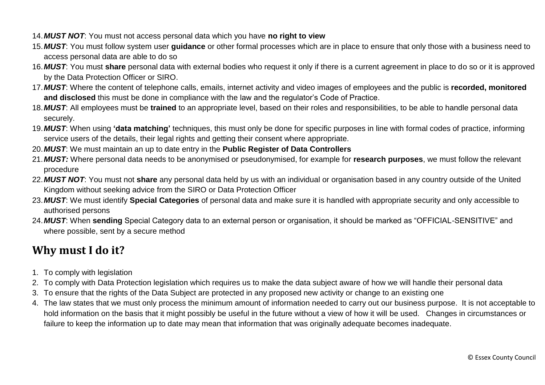- 14.*MUST NOT*: You must not access personal data which you have **no right to view**
- 15.*MUST*: You must follow system user **guidance** or other formal processes which are in place to ensure that only those with a business need to access personal data are able to do so
- 16.*MUST*: You must **share** personal data with external bodies who request it only if there is a current agreement in place to do so or it is approved by the Data Protection Officer or SIRO.
- 17.*MUST*: Where the content of telephone calls, emails, internet activity and video images of employees and the public is **recorded, monitored and disclosed** this must be done in compliance with the law and the regulator's Code of Practice.
- 18.*MUST*: All employees must be **trained** to an appropriate level, based on their roles and responsibilities, to be able to handle personal data securely.
- 19.*MUST*: When using **'data matching'** techniques, this must only be done for specific purposes in line with formal codes of practice, informing service users of the details, their legal rights and getting their consent where appropriate.
- 20.*MUST*: We must maintain an up to date entry in the **Public Register of Data Controllers**
- 21.*MUST:* Where personal data needs to be anonymised or pseudonymised, for example for **research purposes**, we must follow the relevant procedure
- 22.*MUST NOT*: You must not **share** any personal data held by us with an individual or organisation based in any country outside of the United Kingdom without seeking advice from the SIRO or Data Protection Officer
- 23.*MUST*: We must identify **Special Categories** of personal data and make sure it is handled with appropriate security and only accessible to authorised persons
- 24.*MUST*: When **sending** Special Category data to an external person or organisation, it should be marked as "OFFICIAL-SENSITIVE" and where possible, sent by a secure method

# **Why must I do it?**

- 1. To comply with legislation
- 2. To comply with Data Protection legislation which requires us to make the data subject aware of how we will handle their personal data
- 3. To ensure that the rights of the Data Subject are protected in any proposed new activity or change to an existing one
- 4. The law states that we must only process the minimum amount of information needed to carry out our business purpose. It is not acceptable to hold information on the basis that it might possibly be useful in the future without a view of how it will be used. Changes in circumstances or failure to keep the information up to date may mean that information that was originally adequate becomes inadequate.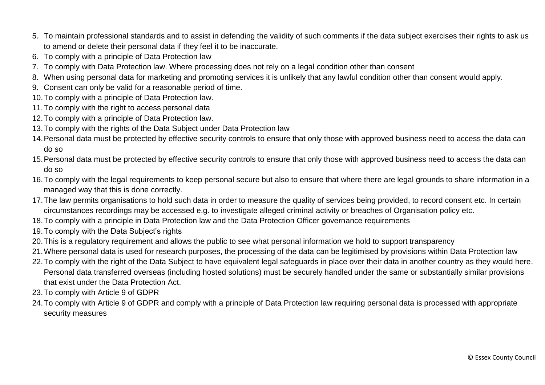- 5. To maintain professional standards and to assist in defending the validity of such comments if the data subject exercises their rights to ask us to amend or delete their personal data if they feel it to be inaccurate.
- 6. To comply with a principle of Data Protection law
- 7. To comply with Data Protection law. Where processing does not rely on a legal condition other than consent
- 8. When using personal data for marketing and promoting services it is unlikely that any lawful condition other than consent would apply.
- 9. Consent can only be valid for a reasonable period of time.
- 10.To comply with a principle of Data Protection law.
- 11.To comply with the right to access personal data
- 12.To comply with a principle of Data Protection law.
- 13.To comply with the rights of the Data Subject under Data Protection law
- 14.Personal data must be protected by effective security controls to ensure that only those with approved business need to access the data can do so
- 15.Personal data must be protected by effective security controls to ensure that only those with approved business need to access the data can do so
- 16.To comply with the legal requirements to keep personal secure but also to ensure that where there are legal grounds to share information in a managed way that this is done correctly.
- 17.The law permits organisations to hold such data in order to measure the quality of services being provided, to record consent etc. In certain circumstances recordings may be accessed e.g. to investigate alleged criminal activity or breaches of Organisation policy etc.
- 18.To comply with a principle in Data Protection law and the Data Protection Officer governance requirements
- 19.To comply with the Data Subject's rights
- 20.This is a regulatory requirement and allows the public to see what personal information we hold to support transparency
- 21.Where personal data is used for research purposes, the processing of the data can be legitimised by provisions within Data Protection law
- 22.To comply with the right of the Data Subject to have equivalent legal safeguards in place over their data in another country as they would here. Personal data transferred overseas (including hosted solutions) must be securely handled under the same or substantially similar provisions that exist under the Data Protection Act.
- 23.To comply with Article 9 of GDPR
- 24.To comply with Article 9 of GDPR and comply with a principle of Data Protection law requiring personal data is processed with appropriate security measures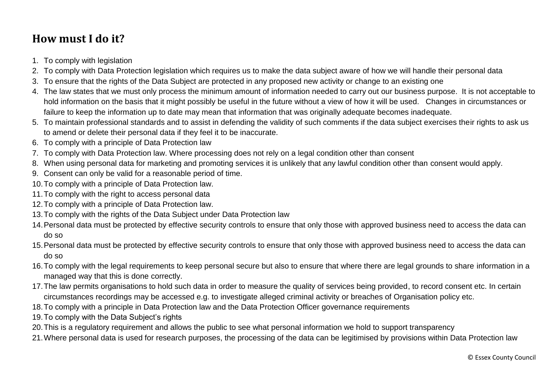# **How must I do it?**

- 1. To comply with legislation
- 2. To comply with Data Protection legislation which requires us to make the data subject aware of how we will handle their personal data
- 3. To ensure that the rights of the Data Subject are protected in any proposed new activity or change to an existing one
- 4. The law states that we must only process the minimum amount of information needed to carry out our business purpose. It is not acceptable to hold information on the basis that it might possibly be useful in the future without a view of how it will be used. Changes in circumstances or failure to keep the information up to date may mean that information that was originally adequate becomes inadequate.
- 5. To maintain professional standards and to assist in defending the validity of such comments if the data subject exercises their rights to ask us to amend or delete their personal data if they feel it to be inaccurate.
- 6. To comply with a principle of Data Protection law
- 7. To comply with Data Protection law. Where processing does not rely on a legal condition other than consent
- 8. When using personal data for marketing and promoting services it is unlikely that any lawful condition other than consent would apply.
- 9. Consent can only be valid for a reasonable period of time.
- 10.To comply with a principle of Data Protection law.
- 11.To comply with the right to access personal data
- 12.To comply with a principle of Data Protection law.
- 13.To comply with the rights of the Data Subject under Data Protection law
- 14.Personal data must be protected by effective security controls to ensure that only those with approved business need to access the data can do so
- 15.Personal data must be protected by effective security controls to ensure that only those with approved business need to access the data can do so
- 16.To comply with the legal requirements to keep personal secure but also to ensure that where there are legal grounds to share information in a managed way that this is done correctly.
- 17.The law permits organisations to hold such data in order to measure the quality of services being provided, to record consent etc. In certain circumstances recordings may be accessed e.g. to investigate alleged criminal activity or breaches of Organisation policy etc.
- 18.To comply with a principle in Data Protection law and the Data Protection Officer governance requirements
- 19.To comply with the Data Subject's rights
- 20.This is a regulatory requirement and allows the public to see what personal information we hold to support transparency
- 21.Where personal data is used for research purposes, the processing of the data can be legitimised by provisions within Data Protection law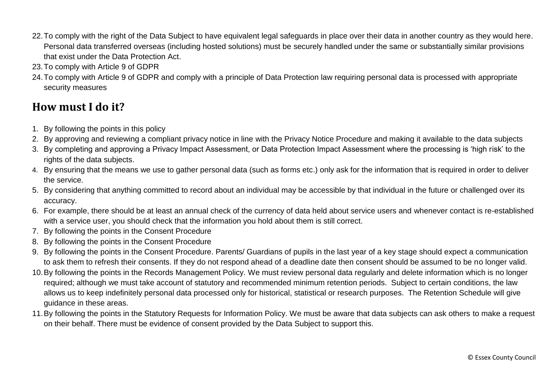- 22.To comply with the right of the Data Subject to have equivalent legal safeguards in place over their data in another country as they would here. Personal data transferred overseas (including hosted solutions) must be securely handled under the same or substantially similar provisions that exist under the Data Protection Act.
- 23.To comply with Article 9 of GDPR
- 24.To comply with Article 9 of GDPR and comply with a principle of Data Protection law requiring personal data is processed with appropriate security measures

# **How must I do it?**

- 1. By following the points in this policy
- 2. By approving and reviewing a compliant privacy notice in line with the Privacy Notice Procedure and making it available to the data subjects
- 3. By completing and approving a Privacy Impact Assessment, or Data Protection Impact Assessment where the processing is 'high risk' to the rights of the data subjects.
- 4. By ensuring that the means we use to gather personal data (such as forms etc.) only ask for the information that is required in order to deliver the service.
- 5. By considering that anything committed to record about an individual may be accessible by that individual in the future or challenged over its accuracy.
- 6. For example, there should be at least an annual check of the currency of data held about service users and whenever contact is re-established with a service user, you should check that the information you hold about them is still correct.
- 7. By following the points in the Consent Procedure
- 8. By following the points in the Consent Procedure
- 9. By following the points in the Consent Procedure. Parents/ Guardians of pupils in the last year of a key stage should expect a communication to ask them to refresh their consents. If they do not respond ahead of a deadline date then consent should be assumed to be no longer valid.
- 10.By following the points in the Records Management Policy. We must review personal data regularly and delete information which is no longer required; although we must take account of statutory and recommended minimum retention periods. Subject to certain conditions, the law allows us to keep indefinitely personal data processed only for historical, statistical or research purposes. The Retention Schedule will give guidance in these areas.
- 11.By following the points in the Statutory Requests for Information Policy. We must be aware that data subjects can ask others to make a request on their behalf. There must be evidence of consent provided by the Data Subject to support this.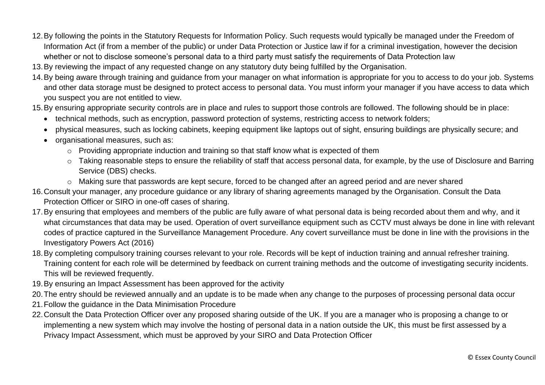- 12.By following the points in the Statutory Requests for Information Policy. Such requests would typically be managed under the Freedom of Information Act (if from a member of the public) or under Data Protection or Justice law if for a criminal investigation, however the decision whether or not to disclose someone's personal data to a third party must satisfy the requirements of Data Protection law
- 13.By reviewing the impact of any requested change on any statutory duty being fulfilled by the Organisation.
- 14.By being aware through training and guidance from your manager on what information is appropriate for you to access to do your job. Systems and other data storage must be designed to protect access to personal data. You must inform your manager if you have access to data which you suspect you are not entitled to view.
- 15.By ensuring appropriate security controls are in place and rules to support those controls are followed. The following should be in place:
	- technical methods, such as encryption, password protection of systems, restricting access to network folders;
	- physical measures, such as locking cabinets, keeping equipment like laptops out of sight, ensuring buildings are physically secure; and
	- organisational measures, such as:
		- o Providing appropriate induction and training so that staff know what is expected of them
		- o Taking reasonable steps to ensure the reliability of staff that access personal data, for example, by the use of Disclosure and Barring Service (DBS) checks.
		- o Making sure that passwords are kept secure, forced to be changed after an agreed period and are never shared
- 16.Consult your manager, any procedure guidance or any library of sharing agreements managed by the Organisation. Consult the Data Protection Officer or SIRO in one-off cases of sharing.
- 17.By ensuring that employees and members of the public are fully aware of what personal data is being recorded about them and why, and it what circumstances that data may be used. Operation of overt surveillance equipment such as CCTV must always be done in line with relevant codes of practice captured in the Surveillance Management Procedure. Any covert surveillance must be done in line with the provisions in the Investigatory Powers Act (2016)
- 18.By completing compulsory training courses relevant to your role. Records will be kept of induction training and annual refresher training. Training content for each role will be determined by feedback on current training methods and the outcome of investigating security incidents. This will be reviewed frequently.
- 19.By ensuring an Impact Assessment has been approved for the activity
- 20.The entry should be reviewed annually and an update is to be made when any change to the purposes of processing personal data occur
- 21.Follow the guidance in the Data Minimisation Procedure
- 22.Consult the Data Protection Officer over any proposed sharing outside of the UK. If you are a manager who is proposing a change to or implementing a new system which may involve the hosting of personal data in a nation outside the UK, this must be first assessed by a Privacy Impact Assessment, which must be approved by your SIRO and Data Protection Officer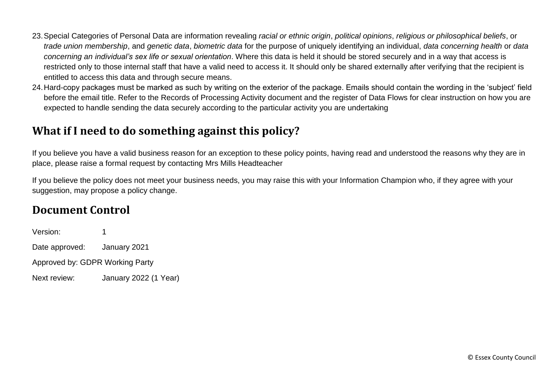- 23.Special Categories of Personal Data are information revealing *racial or ethnic origin*, *political opinions*, *religious or philosophical beliefs*, or *trade union membership*, and *genetic data*, *biometric data* for the purpose of uniquely identifying an individual, *data concerning health* or *data concerning an individual's sex life or sexual orientation*. Where this data is held it should be stored securely and in a way that access is restricted only to those internal staff that have a valid need to access it. It should only be shared externally after verifying that the recipient is entitled to access this data and through secure means.
- 24.Hard-copy packages must be marked as such by writing on the exterior of the package. Emails should contain the wording in the 'subject' field before the email title. Refer to the Records of Processing Activity document and the register of Data Flows for clear instruction on how you are expected to handle sending the data securely according to the particular activity you are undertaking

### **What if I need to do something against this policy?**

If you believe you have a valid business reason for an exception to these policy points, having read and understood the reasons why they are in place, please raise a formal request by contacting Mrs Mills Headteacher

If you believe the policy does not meet your business needs, you may raise this with your Information Champion who, if they agree with your suggestion, may propose a policy change.

### **Document Control**

Version: 1 Date approved: January 2021 Approved by: GDPR Working Party Next review: January 2022 (1 Year)